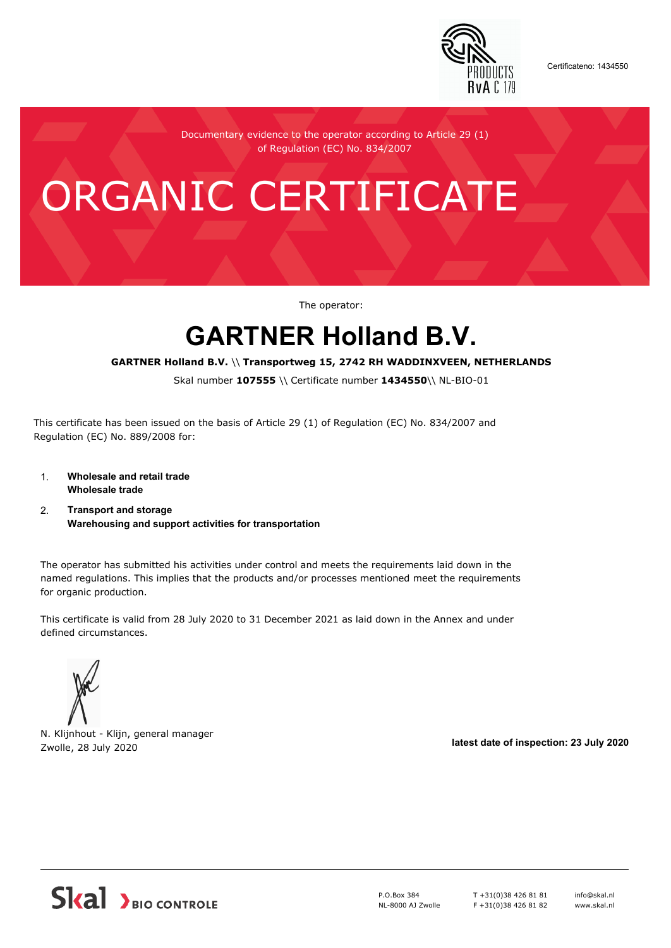

Certificateno: 1434550

Documentary evidence to the operator according to Article 29 (1) of Regulation (EC) No. 834/2007

# ORGANIC CERTIFICATE

The operator:

## **GARTNER Holland B.V.**

#### **GARTNER Holland B.V.** \\ **Transportweg 15, 2742 RH WADDINXVEEN, NETHERLANDS**

Skal number **107555** \\ Certificate number **1434550**\\ NL-BIO-01

This certificate has been issued on the basis of Article 29 (1) of Regulation (EC) No. 834/2007 and Regulation (EC) No. 889/2008 for:

- 1. **Wholesale and retail trade Wholesale trade**
- 2. **Transport and storage Warehousing and support activities for transportation**

The operator has submitted his activities under control and meets the requirements laid down in the named regulations. This implies that the products and/or processes mentioned meet the requirements for organic production.

This certificate is valid from 28 July 2020 to 31 December 2021 as laid down in the Annex and under defined circumstances.

N. Klijnhout - Klijn, general manager Zwolle, 28 July 2020 **latest date of inspection: 23 July 2020**



P.O.Box 384 NL-8000 AJ Zwolle T +31(0)38 426 81 81 F +31(0)38 426 81 82